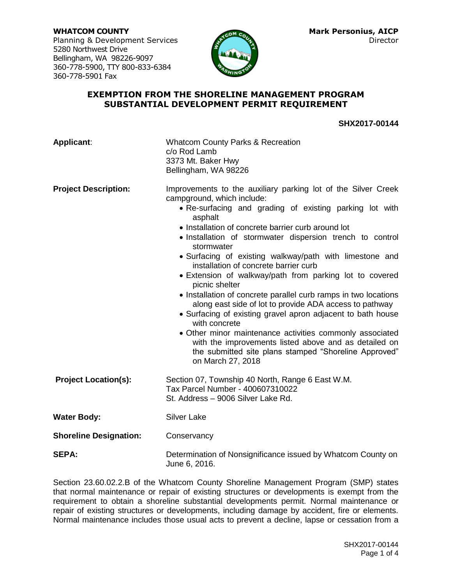**WHATCOM COUNTY Mark Personius, AICP** Planning & Development Services Director 5280 Northwest Drive Bellingham, WA 98226-9097 360-778-5900, TTY 800-833-6384 360-778-5901 Fax



### **EXEMPTION FROM THE SHORELINE MANAGEMENT PROGRAM SUBSTANTIAL DEVELOPMENT PERMIT REQUIREMENT**

**SHX2017-00144**

| Applicant:                    | <b>Whatcom County Parks &amp; Recreation</b><br>c/o Rod Lamb<br>3373 Mt. Baker Hwy<br>Bellingham, WA 98226                                                                                                                                                                                                                                                                                                                                                                                                                                                                                                                                                                                                                                                                                                                                                                                           |
|-------------------------------|------------------------------------------------------------------------------------------------------------------------------------------------------------------------------------------------------------------------------------------------------------------------------------------------------------------------------------------------------------------------------------------------------------------------------------------------------------------------------------------------------------------------------------------------------------------------------------------------------------------------------------------------------------------------------------------------------------------------------------------------------------------------------------------------------------------------------------------------------------------------------------------------------|
| <b>Project Description:</b>   | Improvements to the auxiliary parking lot of the Silver Creek<br>campground, which include:<br>• Re-surfacing and grading of existing parking lot with<br>asphalt<br>• Installation of concrete barrier curb around lot<br>. Installation of stormwater dispersion trench to control<br>stormwater<br>• Surfacing of existing walkway/path with limestone and<br>installation of concrete barrier curb<br>• Extension of walkway/path from parking lot to covered<br>picnic shelter<br>• Installation of concrete parallel curb ramps in two locations<br>along east side of lot to provide ADA access to pathway<br>• Surfacing of existing gravel apron adjacent to bath house<br>with concrete<br>• Other minor maintenance activities commonly associated<br>with the improvements listed above and as detailed on<br>the submitted site plans stamped "Shoreline Approved"<br>on March 27, 2018 |
| <b>Project Location(s):</b>   | Section 07, Township 40 North, Range 6 East W.M.<br>Tax Parcel Number - 400607310022<br>St. Address - 9006 Silver Lake Rd.                                                                                                                                                                                                                                                                                                                                                                                                                                                                                                                                                                                                                                                                                                                                                                           |
| <b>Water Body:</b>            | <b>Silver Lake</b>                                                                                                                                                                                                                                                                                                                                                                                                                                                                                                                                                                                                                                                                                                                                                                                                                                                                                   |
| <b>Shoreline Designation:</b> | Conservancy                                                                                                                                                                                                                                                                                                                                                                                                                                                                                                                                                                                                                                                                                                                                                                                                                                                                                          |
| <b>SEPA:</b>                  | Determination of Nonsignificance issued by Whatcom County on<br>June 6, 2016.                                                                                                                                                                                                                                                                                                                                                                                                                                                                                                                                                                                                                                                                                                                                                                                                                        |

Section 23.60.02.2.B of the Whatcom County Shoreline Management Program (SMP) states that normal maintenance or repair of existing structures or developments is exempt from the requirement to obtain a shoreline substantial developments permit. Normal maintenance or repair of existing structures or developments, including damage by accident, fire or elements. Normal maintenance includes those usual acts to prevent a decline, lapse or cessation from a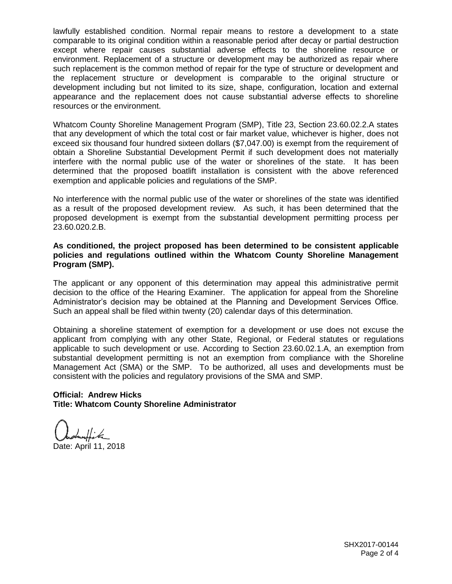lawfully established condition. Normal repair means to restore a development to a state comparable to its original condition within a reasonable period after decay or partial destruction except where repair causes substantial adverse effects to the shoreline resource or environment. Replacement of a structure or development may be authorized as repair where such replacement is the common method of repair for the type of structure or development and the replacement structure or development is comparable to the original structure or development including but not limited to its size, shape, configuration, location and external appearance and the replacement does not cause substantial adverse effects to shoreline resources or the environment.

Whatcom County Shoreline Management Program (SMP), Title 23, Section 23.60.02.2.A states that any development of which the total cost or fair market value, whichever is higher, does not exceed six thousand four hundred sixteen dollars (\$7,047.00) is exempt from the requirement of obtain a Shoreline Substantial Development Permit if such development does not materially interfere with the normal public use of the water or shorelines of the state. It has been determined that the proposed boatlift installation is consistent with the above referenced exemption and applicable policies and regulations of the SMP.

No interference with the normal public use of the water or shorelines of the state was identified as a result of the proposed development review. As such, it has been determined that the proposed development is exempt from the substantial development permitting process per 23.60.020.2.B.

#### **As conditioned, the project proposed has been determined to be consistent applicable policies and regulations outlined within the Whatcom County Shoreline Management Program (SMP).**

The applicant or any opponent of this determination may appeal this administrative permit decision to the office of the Hearing Examiner. The application for appeal from the Shoreline Administrator's decision may be obtained at the Planning and Development Services Office. Such an appeal shall be filed within twenty (20) calendar days of this determination.

Obtaining a shoreline statement of exemption for a development or use does not excuse the applicant from complying with any other State, Regional, or Federal statutes or regulations applicable to such development or use. According to Section 23.60.02.1.A, an exemption from substantial development permitting is not an exemption from compliance with the Shoreline Management Act (SMA) or the SMP. To be authorized, all uses and developments must be consistent with the policies and regulatory provisions of the SMA and SMP.

# **Official: Andrew Hicks Title: Whatcom County Shoreline Administrator**

Date: April 11, 2018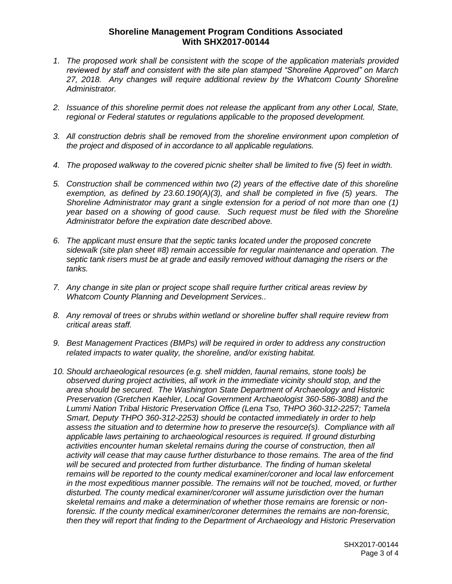# **Shoreline Management Program Conditions Associated With SHX2017-00144**

- *1. The proposed work shall be consistent with the scope of the application materials provided reviewed by staff and consistent with the site plan stamped "Shoreline Approved" on March 27, 2018. Any changes will require additional review by the Whatcom County Shoreline Administrator.*
- *2. Issuance of this shoreline permit does not release the applicant from any other Local, State, regional or Federal statutes or regulations applicable to the proposed development.*
- *3. All construction debris shall be removed from the shoreline environment upon completion of the project and disposed of in accordance to all applicable regulations.*
- *4. The proposed walkway to the covered picnic shelter shall be limited to five (5) feet in width.*
- *5. Construction shall be commenced within two (2) years of the effective date of this shoreline exemption, as defined by 23.60.190(A)(3), and shall be completed in five (5) years. The Shoreline Administrator may grant a single extension for a period of not more than one (1) year based on a showing of good cause. Such request must be filed with the Shoreline Administrator before the expiration date described above.*
- *6. The applicant must ensure that the septic tanks located under the proposed concrete sidewalk (site plan sheet #8) remain accessible for regular maintenance and operation. The septic tank risers must be at grade and easily removed without damaging the risers or the tanks.*
- *7. Any change in site plan or project scope shall require further critical areas review by Whatcom County Planning and Development Services..*
- *8. Any removal of trees or shrubs within wetland or shoreline buffer shall require review from critical areas staff.*
- *9. Best Management Practices (BMPs) will be required in order to address any construction related impacts to water quality, the shoreline, and/or existing habitat.*
- *10. Should archaeological resources (e.g. shell midden, faunal remains, stone tools) be observed during project activities, all work in the immediate vicinity should stop, and the area should be secured. The Washington State Department of Archaeology and Historic Preservation (Gretchen Kaehler, Local Government Archaeologist 360-586-3088) and the Lummi Nation Tribal Historic Preservation Office (Lena Tso, THPO 360-312-2257; Tamela Smart, Deputy THPO 360-312-2253) should be contacted immediately in order to help assess the situation and to determine how to preserve the resource(s). Compliance with all applicable laws pertaining to archaeological resources is required. If ground disturbing activities encounter human skeletal remains during the course of construction, then all activity will cease that may cause further disturbance to those remains. The area of the find will be secured and protected from further disturbance. The finding of human skeletal remains will be reported to the county medical examiner/coroner and local law enforcement in the most expeditious manner possible. The remains will not be touched, moved, or further disturbed. The county medical examiner/coroner will assume jurisdiction over the human skeletal remains and make a determination of whether those remains are forensic or nonforensic. If the county medical examiner/coroner determines the remains are non-forensic, then they will report that finding to the Department of Archaeology and Historic Preservation*